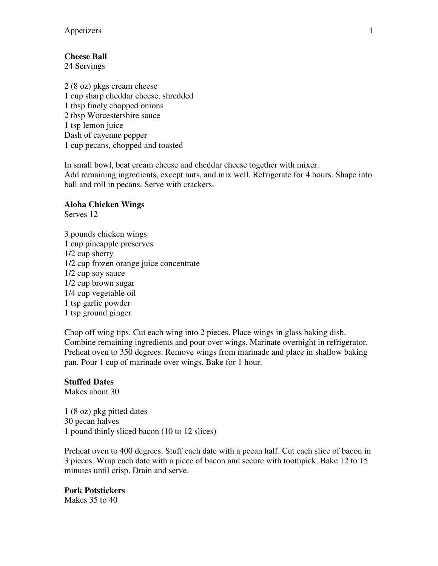# **Cheese Ball**

24 Servings

2 (8 oz) pkgs cream cheese 1 cup sharp cheddar cheese, shredded 1 tbsp finely chopped onions 2 tbsp Worcestershire sauce 1 tsp lemon juice Dash of cayenne pepper 1 cup pecans, chopped and toasted

In small bowl, beat cream cheese and cheddar cheese together with mixer. Add remaining ingredients, except nuts, and mix well. Refrigerate for 4 hours. Shape into ball and roll in pecans. Serve with crackers.

### **Aloha Chicken Wings**

Serves 12

3 pounds chicken wings 1 cup pineapple preserves 1/2 cup sherry 1/2 cup frozen orange juice concentrate 1/2 cup soy sauce 1/2 cup brown sugar 1/4 cup vegetable oil 1 tsp garlic powder 1 tsp ground ginger

Chop off wing tips. Cut each wing into 2 pieces. Place wings in glass baking dish. Combine remaining ingredients and pour over wings. Marinate overnight in refrigerator. Preheat oven to 350 degrees. Remove wings from marinade and place in shallow baking pan. Pour 1 cup of marinade over wings. Bake for 1 hour.

## **Stuffed Dates**

Makes about 30

1 (8 oz) pkg pitted dates 30 pecan halves 1 pound thinly sliced bacon (10 to 12 slices)

Preheat oven to 400 degrees. Stuff each date with a pecan half. Cut each slice of bacon in 3 pieces. Wrap each date with a piece of bacon and secure with toothpick. Bake 12 to 15 minutes until crisp. Drain and serve.

**Pork Potstickers**  Makes 35 to 40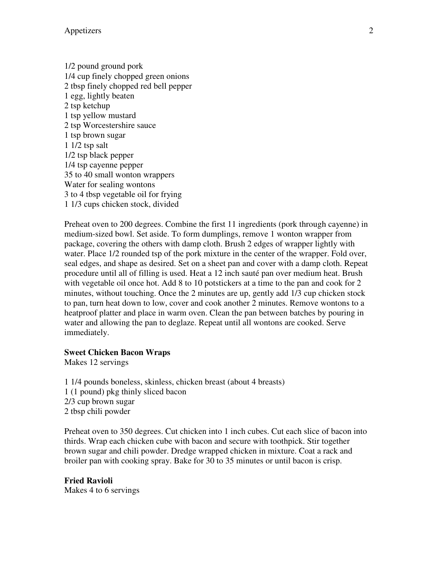1/2 pound ground pork 1/4 cup finely chopped green onions 2 tbsp finely chopped red bell pepper 1 egg, lightly beaten 2 tsp ketchup 1 tsp yellow mustard 2 tsp Worcestershire sauce 1 tsp brown sugar 1 1/2 tsp salt 1/2 tsp black pepper 1/4 tsp cayenne pepper 35 to 40 small wonton wrappers Water for sealing wontons 3 to 4 tbsp vegetable oil for frying 1 1/3 cups chicken stock, divided

Preheat oven to 200 degrees. Combine the first 11 ingredients (pork through cayenne) in medium-sized bowl. Set aside. To form dumplings, remove 1 wonton wrapper from package, covering the others with damp cloth. Brush 2 edges of wrapper lightly with water. Place 1/2 rounded tsp of the pork mixture in the center of the wrapper. Fold over, seal edges, and shape as desired. Set on a sheet pan and cover with a damp cloth. Repeat procedure until all of filling is used. Heat a 12 inch sauté pan over medium heat. Brush with vegetable oil once hot. Add 8 to 10 potstickers at a time to the pan and cook for 2 minutes, without touching. Once the 2 minutes are up, gently add 1/3 cup chicken stock to pan, turn heat down to low, cover and cook another 2 minutes. Remove wontons to a heatproof platter and place in warm oven. Clean the pan between batches by pouring in water and allowing the pan to deglaze. Repeat until all wontons are cooked. Serve immediately.

#### **Sweet Chicken Bacon Wraps**

Makes 12 servings

1 1/4 pounds boneless, skinless, chicken breast (about 4 breasts) 1 (1 pound) pkg thinly sliced bacon 2/3 cup brown sugar 2 tbsp chili powder

Preheat oven to 350 degrees. Cut chicken into 1 inch cubes. Cut each slice of bacon into thirds. Wrap each chicken cube with bacon and secure with toothpick. Stir together brown sugar and chili powder. Dredge wrapped chicken in mixture. Coat a rack and broiler pan with cooking spray. Bake for 30 to 35 minutes or until bacon is crisp.

**Fried Ravioli**  Makes 4 to 6 servings